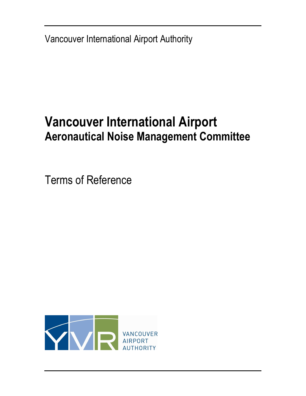Vancouver International Airport Authority

# Vancouver International Airport Aeronautical Noise Management Committee

Terms of Reference

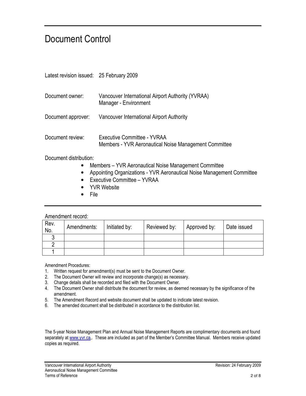### Document Control

| Latest revision issued: 25 February 2009 |                                                                                      |
|------------------------------------------|--------------------------------------------------------------------------------------|
| Document owner:                          | Vancouver International Airport Authority (YVRAA)<br>Manager - Environment           |
| Document approver:                       | Vancouver International Airport Authority                                            |
| Document review:                         | Executive Committee - YVRAA<br>Members - YVR Aeronautical Noise Management Committee |

Document distribution:

- Members YVR Aeronautical Noise Management Committee
- Appointing Organizations YVR Aeronautical Noise Management Committee
- Executive Committee YVRAA
- YVR Website
- File

#### Amendment record:

| Rev.<br>No. | Amendments: | Initiated by: | Reviewed by: | Approved by: | Date issued |
|-------------|-------------|---------------|--------------|--------------|-------------|
|             |             |               |              |              |             |
|             |             |               |              |              |             |
|             |             |               |              |              |             |

Amendment Procedures:

- 1. Written request for amendment(s) must be sent to the Document Owner.
- 2. The Document Owner will review and incorporate change(s) as necessary.
- 3. Change details shall be recorded and filed with the Document Owner.
- 4. The Document Owner shall distribute the document for review, as deemed necessary by the significance of the amendment.
- 5. The Amendment Record and website document shall be updated to indicate latest revision.
- 6. The amended document shall be distributed in accordance to the distribution list.

The 5-year Noise Management Plan and Annual Noise Management Reports are complimentary documents and found separately at www.yvr.ca.. These are included as part of the Member's Committee Manual. Members receive updated copies as required.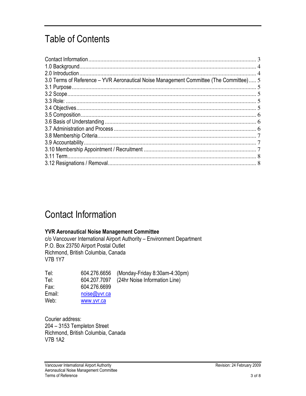## Table of Contents

| 3.0 Terms of Reference – YVR Aeronautical Noise Management Committee (The Committee) 5 |  |
|----------------------------------------------------------------------------------------|--|
|                                                                                        |  |
|                                                                                        |  |
|                                                                                        |  |
|                                                                                        |  |
|                                                                                        |  |
|                                                                                        |  |
|                                                                                        |  |
|                                                                                        |  |
|                                                                                        |  |
|                                                                                        |  |
|                                                                                        |  |
|                                                                                        |  |

### Contact Information

#### YVR Aeronautical Noise Management Committee

c/o Vancouver International Airport Authority – Environment Department P.O. Box 23750 Airport Postal Outlet Richmond, British Columbia, Canada V7B 1Y7

| Tel:   | 604.276.6656 | (Monday-Friday 8:30am-4:30pm) |
|--------|--------------|-------------------------------|
| Tel:   | 604.207.7097 | (24hr Noise Information Line) |
| Fax:   | 604.276.6699 |                               |
| Email: | noise@yvr.ca |                               |
| Web:   | www.yvr.ca   |                               |

Courier address: 204 – 3153 Templeton Street Richmond, British Columbia, Canada V7B 1A2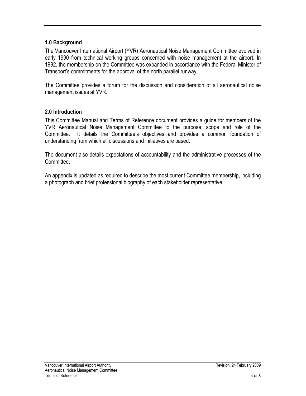#### 1.0 Background

The Vancouver International Airport (YVR) Aeronautical Noise Management Committee evolved in early 1990 from technical working groups concerned with noise management at the airport. In 1992, the membership on the Committee was expanded in accordance with the Federal Minister of Transport's commitments for the approval of the north parallel runway.

The Committee provides a forum for the discussion and consideration of all aeronautical noise management issues at YVR.

#### 2.0 Introduction

This Committee Manual and Terms of Reference document provides a guide for members of the YVR Aeronautical Noise Management Committee to the purpose, scope and role of the Committee. It details the Committee's objectives and provides a common foundation of understanding from which all discussions and initiatives are based.

The document also details expectations of accountability and the administrative processes of the **Committee** 

An appendix is updated as required to describe the most current Committee membership, including a photograph and brief professional biography of each stakeholder representative.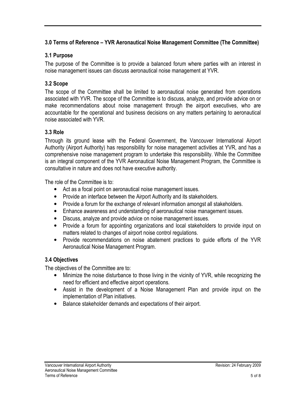#### 3.0 Terms of Reference – YVR Aeronautical Noise Management Committee (The Committee)

#### 3.1 Purpose

The purpose of the Committee is to provide a balanced forum where parties with an interest in noise management issues can discuss aeronautical noise management at YVR.

#### 3.2 Scope

The scope of the Committee shall be limited to aeronautical noise generated from operations associated with YVR. The scope of the Committee is to discuss, analyze, and provide advice on or make recommendations about noise management through the airport executives, who are accountable for the operational and business decisions on any matters pertaining to aeronautical noise associated with YVR.

#### 3.3 Role

Through its ground lease with the Federal Government, the Vancouver International Airport Authority (Airport Authority) has responsibility for noise management activities at YVR, and has a comprehensive noise management program to undertake this responsibility. While the Committee is an integral component of the YVR Aeronautical Noise Management Program, the Committee is consultative in nature and does not have executive authority.

The role of the Committee is to:

- Act as a focal point on aeronautical noise management issues.
- Provide an interface between the Airport Authority and its stakeholders.
- Provide a forum for the exchange of relevant information amongst all stakeholders.
- Enhance awareness and understanding of aeronautical noise management issues.
- Discuss, analyze and provide advice on noise management issues.
- Provide a forum for appointing organizations and local stakeholders to provide input on matters related to changes of airport noise control regulations.
- Provide recommendations on noise abatement practices to guide efforts of the YVR Aeronautical Noise Management Program.

#### 3.4 Objectives

The objectives of the Committee are to:

- Minimize the noise disturbance to those living in the vicinity of YVR, while recognizing the need for efficient and effective airport operations.
- Assist in the development of a Noise Management Plan and provide input on the implementation of Plan initiatives.
- Balance stakeholder demands and expectations of their airport.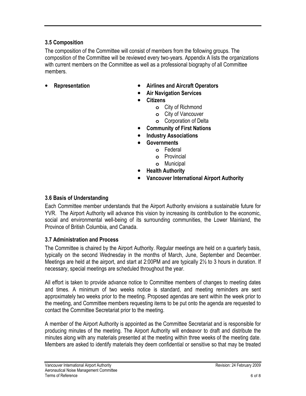#### 3.5 Composition

The composition of the Committee will consist of members from the following groups. The composition of the Committee will be reviewed every two-years. Appendix A lists the organizations with current members on the Committee as well as a professional biography of all Committee members.

- 
- Representation Airlines and Aircraft Operators
	- Air Navigation Services
	- **Citizens** 
		- **o** City of Richmond
		- **o** City of Vancouver
		- **o** Corporation of Delta
	- Community of First Nations
	- Industry Associations
	- **Governments** 
		- **o** Federal
		- **o** Provincial
		- **o** Municipal
	- **Health Authority**
	- Vancouver International Airport Authority

#### 3.6 Basis of Understanding

Each Committee member understands that the Airport Authority envisions a sustainable future for YVR. The Airport Authority will advance this vision by increasing its contribution to the economic, social and environmental well-being of its surrounding communities, the Lower Mainland, the Province of British Columbia, and Canada.

#### 3.7 Administration and Process

The Committee is chaired by the Airport Authority. Regular meetings are held on a quarterly basis, typically on the second Wednesday in the months of March, June, September and December. Meetings are held at the airport, and start at 2:00PM and are typically 2½ to 3 hours in duration. If necessary, special meetings are scheduled throughout the year.

All effort is taken to provide advance notice to Committee members of changes to meeting dates and times. A minimum of two weeks notice is standard, and meeting reminders are sent approximately two weeks prior to the meeting. Proposed agendas are sent within the week prior to the meeting, and Committee members requesting items to be put onto the agenda are requested to contact the Committee Secretariat prior to the meeting.

A member of the Airport Authority is appointed as the Committee Secretariat and is responsible for producing minutes of the meeting. The Airport Authority will endeavor to draft and distribute the minutes along with any materials presented at the meeting within three weeks of the meeting date. Members are asked to identify materials they deem confidential or sensitive so that may be treated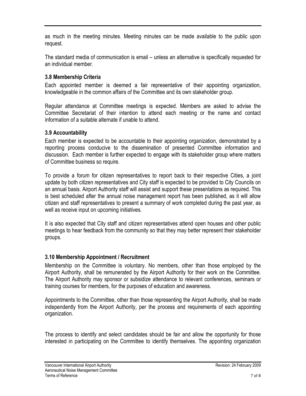as much in the meeting minutes. Meeting minutes can be made available to the public upon request.

The standard media of communication is email – unless an alternative is specifically requested for an individual member.

#### 3.8 Membership Criteria

Each appointed member is deemed a fair representative of their appointing organization, knowledgeable in the common affairs of the Committee and its own stakeholder group.

Regular attendance at Committee meetings is expected. Members are asked to advise the Committee Secretariat of their intention to attend each meeting or the name and contact information of a suitable alternate if unable to attend.

#### 3.9 Accountability

Each member is expected to be accountable to their appointing organization, demonstrated by a reporting process conducive to the dissemination of presented Committee information and discussion. Each member is further expected to engage with its stakeholder group where matters of Committee business so require.

To provide a forum for citizen representatives to report back to their respective Cities, a joint update by both citizen representatives and City staff is expected to be provided to City Councils on an annual basis. Airport Authority staff will assist and support these presentations as required. This is best scheduled after the annual noise management report has been published, as it will allow citizen and staff representatives to present a summary of work completed during the past year, as well as receive input on upcoming initiatives.

It is also expected that City staff and citizen representatives attend open houses and other public meetings to hear feedback from the community so that they may better represent their stakeholder groups.

#### 3.10 Membership Appointment / Recruitment

Membership on the Committee is voluntary. No members, other than those employed by the Airport Authority, shall be remunerated by the Airport Authority for their work on the Committee. The Airport Authority may sponsor or subsidize attendance to relevant conferences, seminars or training courses for members, for the purposes of education and awareness.

Appointments to the Committee, other than those representing the Airport Authority, shall be made independently from the Airport Authority, per the process and requirements of each appointing organization.

The process to identify and select candidates should be fair and allow the opportunity for those interested in participating on the Committee to identify themselves. The appointing organization